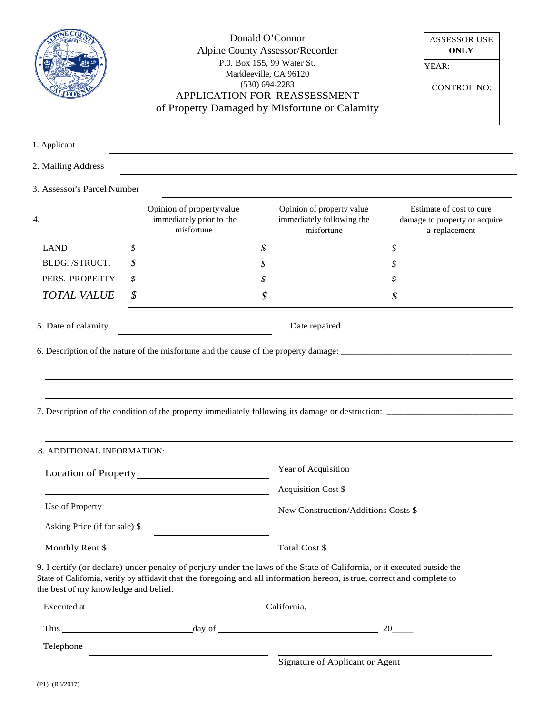|                                      | Donald O'Connor<br><b>Alpine County Assessor/Recorder</b><br>P.0. Box 155, 99 Water St.<br>Markleeville, CA 96120<br>$(530) 694 - 2283$<br>APPLICATION FOR REASSESSMENT<br>of Property Damaged by Misfortune or Calamity |                                                                                                                                                                                                                                                      |                                                                      | <b>ASSESSOR USE</b><br><b>ONLY</b><br>YEAR:<br><b>CONTROL NO:</b>                                |
|--------------------------------------|--------------------------------------------------------------------------------------------------------------------------------------------------------------------------------------------------------------------------|------------------------------------------------------------------------------------------------------------------------------------------------------------------------------------------------------------------------------------------------------|----------------------------------------------------------------------|--------------------------------------------------------------------------------------------------|
| 1. Applicant                         |                                                                                                                                                                                                                          |                                                                                                                                                                                                                                                      |                                                                      |                                                                                                  |
| 2. Mailing Address                   |                                                                                                                                                                                                                          |                                                                                                                                                                                                                                                      |                                                                      |                                                                                                  |
| 3. Assessor's Parcel Number          |                                                                                                                                                                                                                          |                                                                                                                                                                                                                                                      |                                                                      |                                                                                                  |
| 4.                                   |                                                                                                                                                                                                                          | Opinion of property value<br>immediately prior to the<br>misfortune                                                                                                                                                                                  | Opinion of property value<br>immediately following the<br>misfortune | Estimate of cost to cure<br>damage to property or acquire<br>a replacement                       |
| <b>LAND</b>                          | \$                                                                                                                                                                                                                       | \$                                                                                                                                                                                                                                                   |                                                                      | \$                                                                                               |
| BLDG. /STRUCT.                       | \$                                                                                                                                                                                                                       | \$                                                                                                                                                                                                                                                   |                                                                      | \$                                                                                               |
| PERS. PROPERTY                       | \$                                                                                                                                                                                                                       | $\mathcal{S}_{\mathcal{S}}$                                                                                                                                                                                                                          |                                                                      | \$                                                                                               |
| <b>TOTAL VALUE</b>                   | \$                                                                                                                                                                                                                       | $\boldsymbol{\mathcal{S}}$                                                                                                                                                                                                                           |                                                                      | \$                                                                                               |
| 5. Date of calamity                  | Date repaired                                                                                                                                                                                                            |                                                                                                                                                                                                                                                      |                                                                      |                                                                                                  |
|                                      |                                                                                                                                                                                                                          |                                                                                                                                                                                                                                                      |                                                                      | 7. Description of the condition of the property immediately following its damage or destruction: |
| 8. ADDITIONAL INFORMATION:           |                                                                                                                                                                                                                          |                                                                                                                                                                                                                                                      |                                                                      |                                                                                                  |
|                                      |                                                                                                                                                                                                                          |                                                                                                                                                                                                                                                      | Year of Acquisition                                                  |                                                                                                  |
|                                      |                                                                                                                                                                                                                          | <u> 1980 - Johann Barn, fransk politik amerikansk politik (</u>                                                                                                                                                                                      | Acquisition Cost \$                                                  |                                                                                                  |
| Use of Property                      |                                                                                                                                                                                                                          |                                                                                                                                                                                                                                                      | New Construction/Additions Costs \$                                  |                                                                                                  |
| Asking Price (if for sale) \$        |                                                                                                                                                                                                                          |                                                                                                                                                                                                                                                      |                                                                      |                                                                                                  |
| Monthly Rent \$                      |                                                                                                                                                                                                                          | $Total Cost \$$                                                                                                                                                                                                                                      |                                                                      |                                                                                                  |
| the best of my knowledge and belief. |                                                                                                                                                                                                                          | 9. I certify (or declare) under penalty of perjury under the laws of the State of California, or if executed outside the<br>State of California, verify by affidavit that the foregoing and all information hereon, is true, correct and complete to |                                                                      |                                                                                                  |
|                                      |                                                                                                                                                                                                                          | Executed at California,                                                                                                                                                                                                                              |                                                                      |                                                                                                  |
|                                      |                                                                                                                                                                                                                          |                                                                                                                                                                                                                                                      |                                                                      | 20                                                                                               |
| Telephone                            |                                                                                                                                                                                                                          | <u> 1980 - Johann Stein, fransk politik (d. 1980)</u>                                                                                                                                                                                                |                                                                      |                                                                                                  |
|                                      |                                                                                                                                                                                                                          |                                                                                                                                                                                                                                                      | Signature of Applicant or Agent                                      |                                                                                                  |